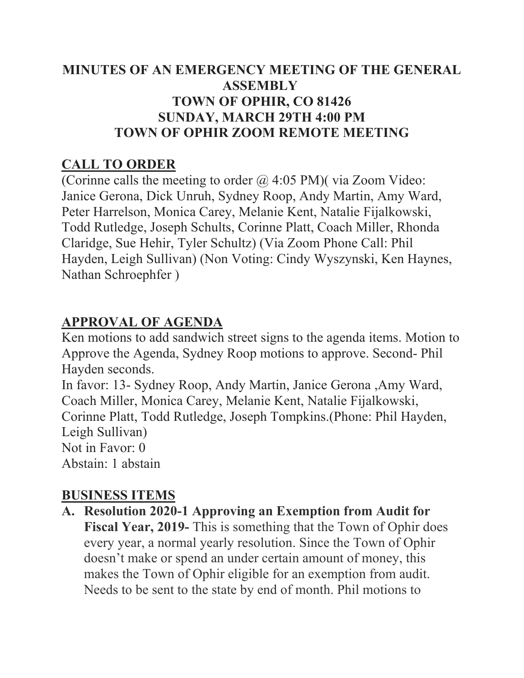### **MINUTES OF AN EMERGENCY MEETING OF THE GENERAL ASSEMBLY TOWN OF OPHIR, CO 81426 SUNDAY, MARCH 29TH 4:00 PM TOWN OF OPHIR ZOOM REMOTE MEETING**

## **CALL TO ORDER**

(Corinne calls the meeting to order  $\omega$  4:05 PM) (via Zoom Video: Janice Gerona, Dick Unruh, Sydney Roop, Andy Martin, Amy Ward, Peter Harrelson, Monica Carey, Melanie Kent, Natalie Fijalkowski, Todd Rutledge, Joseph Schults, Corinne Platt, Coach Miller, Rhonda Claridge, Sue Hehir, Tyler Schultz) (Via Zoom Phone Call: Phil Hayden, Leigh Sullivan) (Non Voting: Cindy Wyszynski, Ken Haynes, Nathan Schroephfer )

## **APPROVAL OF AGENDA**

Ken motions to add sandwich street signs to the agenda items. Motion to Approve the Agenda, Sydney Roop motions to approve. Second- Phil Hayden seconds.

In favor: 13- Sydney Roop, Andy Martin, Janice Gerona ,Amy Ward, Coach Miller, Monica Carey, Melanie Kent, Natalie Fijalkowski, Corinne Platt, Todd Rutledge, Joseph Tompkins.(Phone: Phil Hayden, Leigh Sullivan) Not in Favor: 0

Abstain: 1 abstain

## **BUSINESS ITEMS**

**A. Resolution 2020-1 Approving an Exemption from Audit for Fiscal Year, 2019-** This is something that the Town of Ophir does every year, a normal yearly resolution. Since the Town of Ophir doesn't make or spend an under certain amount of money, this makes the Town of Ophir eligible for an exemption from audit. Needs to be sent to the state by end of month. Phil motions to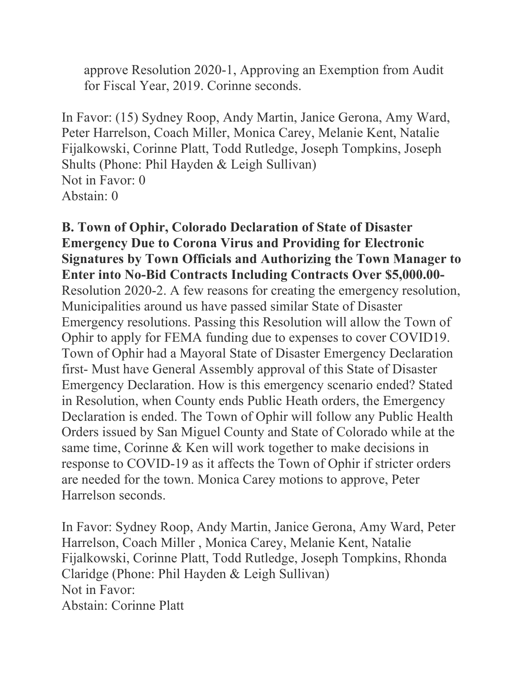approve Resolution 2020-1, Approving an Exemption from Audit for Fiscal Year, 2019. Corinne seconds.

In Favor: (15) Sydney Roop, Andy Martin, Janice Gerona, Amy Ward, Peter Harrelson, Coach Miller, Monica Carey, Melanie Kent, Natalie Fijalkowski, Corinne Platt, Todd Rutledge, Joseph Tompkins, Joseph Shults (Phone: Phil Hayden & Leigh Sullivan) Not in Favor: 0 Abstain: 0

**B. Town of Ophir, Colorado Declaration of State of Disaster Emergency Due to Corona Virus and Providing for Electronic Signatures by Town Officials and Authorizing the Town Manager to Enter into No-Bid Contracts Including Contracts Over \$5,000.00-**  Resolution 2020-2. A few reasons for creating the emergency resolution, Municipalities around us have passed similar State of Disaster Emergency resolutions. Passing this Resolution will allow the Town of Ophir to apply for FEMA funding due to expenses to cover COVID19. Town of Ophir had a Mayoral State of Disaster Emergency Declaration first- Must have General Assembly approval of this State of Disaster Emergency Declaration. How is this emergency scenario ended? Stated in Resolution, when County ends Public Heath orders, the Emergency Declaration is ended. The Town of Ophir will follow any Public Health Orders issued by San Miguel County and State of Colorado while at the same time, Corinne & Ken will work together to make decisions in response to COVID-19 as it affects the Town of Ophir if stricter orders are needed for the town. Monica Carey motions to approve, Peter Harrelson seconds.

In Favor: Sydney Roop, Andy Martin, Janice Gerona, Amy Ward, Peter Harrelson, Coach Miller , Monica Carey, Melanie Kent, Natalie Fijalkowski, Corinne Platt, Todd Rutledge, Joseph Tompkins, Rhonda Claridge (Phone: Phil Hayden & Leigh Sullivan) Not in Favor: Abstain: Corinne Platt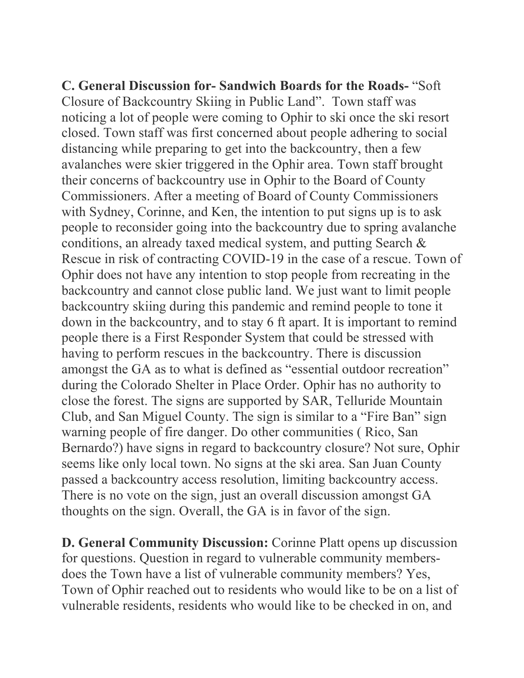**C. General Discussion for- Sandwich Boards for the Roads-** "Soft Closure of Backcountry Skiing in Public Land". Town staff was noticing a lot of people were coming to Ophir to ski once the ski resort closed. Town staff was first concerned about people adhering to social distancing while preparing to get into the backcountry, then a few avalanches were skier triggered in the Ophir area. Town staff brought their concerns of backcountry use in Ophir to the Board of County Commissioners. After a meeting of Board of County Commissioners with Sydney, Corinne, and Ken, the intention to put signs up is to ask people to reconsider going into the backcountry due to spring avalanche conditions, an already taxed medical system, and putting Search & Rescue in risk of contracting COVID-19 in the case of a rescue. Town of Ophir does not have any intention to stop people from recreating in the backcountry and cannot close public land. We just want to limit people backcountry skiing during this pandemic and remind people to tone it down in the backcountry, and to stay 6 ft apart. It is important to remind people there is a First Responder System that could be stressed with having to perform rescues in the backcountry. There is discussion amongst the GA as to what is defined as "essential outdoor recreation" during the Colorado Shelter in Place Order. Ophir has no authority to close the forest. The signs are supported by SAR, Telluride Mountain Club, and San Miguel County. The sign is similar to a "Fire Ban" sign warning people of fire danger. Do other communities ( Rico, San Bernardo?) have signs in regard to backcountry closure? Not sure, Ophir seems like only local town. No signs at the ski area. San Juan County passed a backcountry access resolution, limiting backcountry access. There is no vote on the sign, just an overall discussion amongst GA thoughts on the sign. Overall, the GA is in favor of the sign.

**D. General Community Discussion:** Corinne Platt opens up discussion for questions. Question in regard to vulnerable community membersdoes the Town have a list of vulnerable community members? Yes, Town of Ophir reached out to residents who would like to be on a list of vulnerable residents, residents who would like to be checked in on, and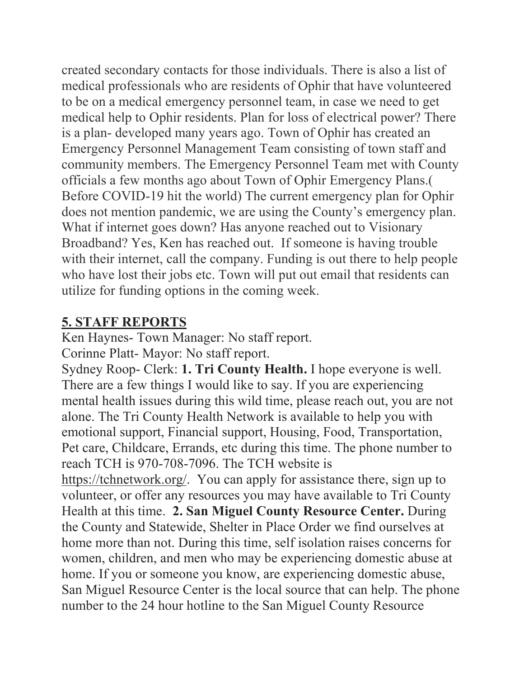created secondary contacts for those individuals. There is also a list of medical professionals who are residents of Ophir that have volunteered to be on a medical emergency personnel team, in case we need to get medical help to Ophir residents. Plan for loss of electrical power? There is a plan- developed many years ago. Town of Ophir has created an Emergency Personnel Management Team consisting of town staff and community members. The Emergency Personnel Team met with County officials a few months ago about Town of Ophir Emergency Plans.( Before COVID-19 hit the world) The current emergency plan for Ophir does not mention pandemic, we are using the County's emergency plan. What if internet goes down? Has anyone reached out to Visionary Broadband? Yes, Ken has reached out. If someone is having trouble with their internet, call the company. Funding is out there to help people who have lost their jobs etc. Town will put out email that residents can utilize for funding options in the coming week.

### **5. STAFF REPORTS**

Ken Haynes- Town Manager: No staff report. Corinne Platt- Mayor: No staff report.

Sydney Roop- Clerk: **1. Tri County Health.** I hope everyone is well. There are a few things I would like to say. If you are experiencing mental health issues during this wild time, please reach out, you are not alone. The Tri County Health Network is available to help you with emotional support, Financial support, Housing, Food, Transportation, Pet care, Childcare, Errands, etc during this time. The phone number to reach TCH is 970-708-7096. The TCH website is

[https://tchnetwork.org/.](https://tchnetwork.org/) You can apply for assistance there, sign up to volunteer, or offer any resources you may have available to Tri County Health at this time. **2. San Miguel County Resource Center.** During the County and Statewide, Shelter in Place Order we find ourselves at home more than not. During this time, self isolation raises concerns for women, children, and men who may be experiencing domestic abuse at home. If you or someone you know, are experiencing domestic abuse, San Miguel Resource Center is the local source that can help. The phone number to the 24 hour hotline to the San Miguel County Resource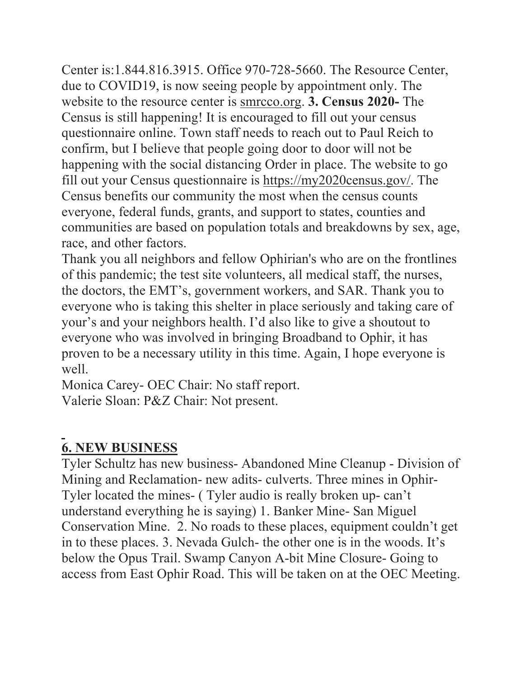Center is:1.844.816.3915. Office 970-728-5660. The Resource Center, due to COVID19, is now seeing people by appointment only. The website to the resource center is [smrcco.org.](http://smrcco.org/) **3. Census 2020-** The Census is still happening! It is encouraged to fill out your census questionnaire online. Town staff needs to reach out to Paul Reich to confirm, but I believe that people going door to door will not be happening with the social distancing Order in place. The website to go fill out your Census questionnaire is [https://my2020census.gov/.](https://my2020census.gov/) The Census benefits our community the most when the census counts everyone, federal funds, grants, and support to states, counties and communities are based on population totals and breakdowns by sex, age, race, and other factors.

Thank you all neighbors and fellow Ophirian's who are on the frontlines of this pandemic; the test site volunteers, all medical staff, the nurses, the doctors, the EMT's, government workers, and SAR. Thank you to everyone who is taking this shelter in place seriously and taking care of your's and your neighbors health. I'd also like to give a shoutout to everyone who was involved in bringing Broadband to Ophir, it has proven to be a necessary utility in this time. Again, I hope everyone is well.

Monica Carey- OEC Chair: No staff report. Valerie Sloan: P&Z Chair: Not present.

# **6. NEW BUSINESS**

Tyler Schultz has new business- Abandoned Mine Cleanup - Division of Mining and Reclamation- new adits- culverts. Three mines in Ophir-Tyler located the mines- ( Tyler audio is really broken up- can't understand everything he is saying) 1. Banker Mine- San Miguel Conservation Mine. 2. No roads to these places, equipment couldn't get in to these places. 3. Nevada Gulch- the other one is in the woods. It's below the Opus Trail. Swamp Canyon A-bit Mine Closure- Going to access from East Ophir Road. This will be taken on at the OEC Meeting.